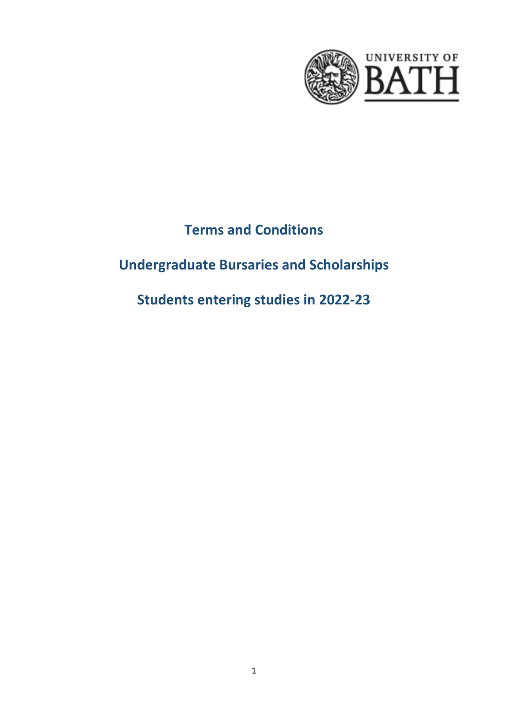

# **Terms and Conditions**

# **Undergraduate Bursaries and Scholarships**

**Students entering studies in 2022-23**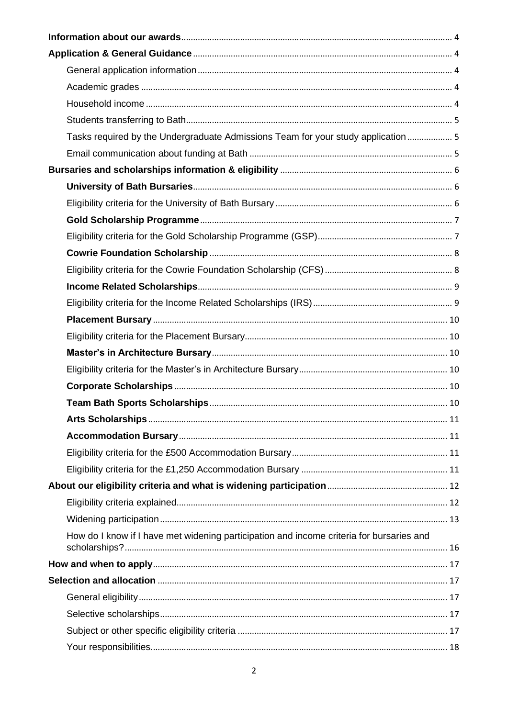| Tasks required by the Undergraduate Admissions Team for your study application 5         |  |
|------------------------------------------------------------------------------------------|--|
|                                                                                          |  |
|                                                                                          |  |
|                                                                                          |  |
|                                                                                          |  |
|                                                                                          |  |
|                                                                                          |  |
|                                                                                          |  |
|                                                                                          |  |
|                                                                                          |  |
|                                                                                          |  |
|                                                                                          |  |
|                                                                                          |  |
|                                                                                          |  |
|                                                                                          |  |
|                                                                                          |  |
|                                                                                          |  |
|                                                                                          |  |
|                                                                                          |  |
|                                                                                          |  |
|                                                                                          |  |
|                                                                                          |  |
|                                                                                          |  |
|                                                                                          |  |
| How do I know if I have met widening participation and income criteria for bursaries and |  |
|                                                                                          |  |
|                                                                                          |  |
|                                                                                          |  |
|                                                                                          |  |
|                                                                                          |  |
|                                                                                          |  |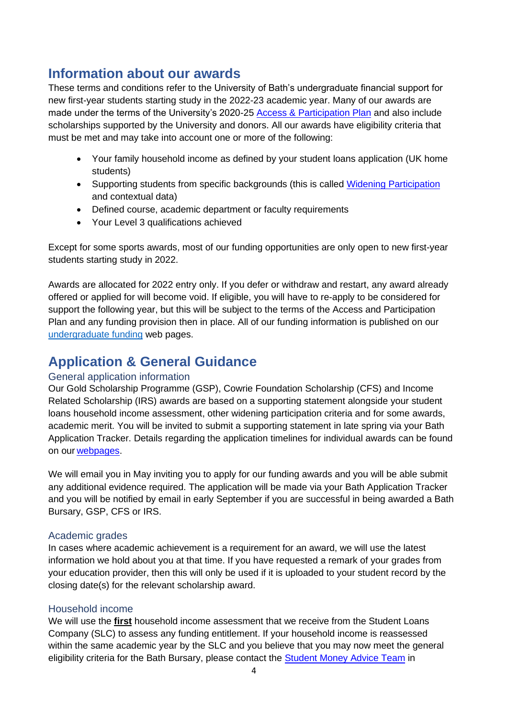## <span id="page-3-0"></span>**Information about our awards**

These terms and conditions refer to the University of Bath's undergraduate financial support for new first-year students starting study in the 2022-23 academic year. Many of our awards are made under the terms of the University's 2020-25 [Access & Participation Plan](https://www.officeforstudents.org.uk/advice-and-guidance/promoting-equal-opportunities/access-and-participation-plans/) and also include scholarships supported by the University and donors. All our awards have eligibility criteria that must be met and may take into account one or more of the following:

- Your family household income as defined by your student loans application (UK home students)
- Supporting students from specific backgrounds (this is called [Widening Participation](https://www.bath.ac.uk/guides/understanding-contextual-admissions-for-undergraduate-applicants/) and contextual data)
- Defined course, academic department or faculty requirements
- Your Level 3 qualifications achieved

Except for some sports awards, most of our funding opportunities are only open to new first-year students starting study in 2022.

Awards are allocated for 2022 entry only. If you defer or withdraw and restart, any award already offered or applied for will become void. If eligible, you will have to re-apply to be considered for support the following year, but this will be subject to the terms of the Access and Participation Plan and any funding provision then in place. All of our funding information is published on our [undergraduate funding](https://www.bath.ac.uk/topics/undergraduate-scholarships-bursaries-and-other-funding/) web pages.

### <span id="page-3-1"></span>**Application & General Guidance**

#### <span id="page-3-2"></span>General application information

Our Gold Scholarship Programme (GSP), Cowrie Foundation Scholarship (CFS) and Income Related Scholarship (IRS) awards are based on a supporting statement alongside your student loans household income assessment, other widening participation criteria and for some awards, academic merit. You will be invited to submit a supporting statement in late spring via your Bath Application Tracker. Details regarding the application timelines for individual awards can be found on our [webpages.](https://www.bath.ac.uk/topics/undergraduate-scholarships-bursaries-and-other-funding/)

We will email you in May inviting you to apply for our funding awards and you will be able submit any additional evidence required. The application will be made via your Bath Application Tracker and you will be notified by email in early September if you are successful in being awarded a Bath Bursary, GSP, CFS or IRS.

#### <span id="page-3-3"></span>Academic grades

In cases where academic achievement is a requirement for an award, we will use the latest information we hold about you at that time. If you have requested a remark of your grades from your education provider, then this will only be used if it is uploaded to your student record by the closing date(s) for the relevant scholarship award.

#### <span id="page-3-4"></span>Household income

We will use the **first** household income assessment that we receive from the Student Loans Company (SLC) to assess any funding entitlement. If your household income is reassessed within the same academic year by the SLC and you believe that you may now meet the general eligibility criteria for the Bath Bursary, please contact the [Student Money Advice Team](https://www.bath.ac.uk/professional-services/student-money-advice/) in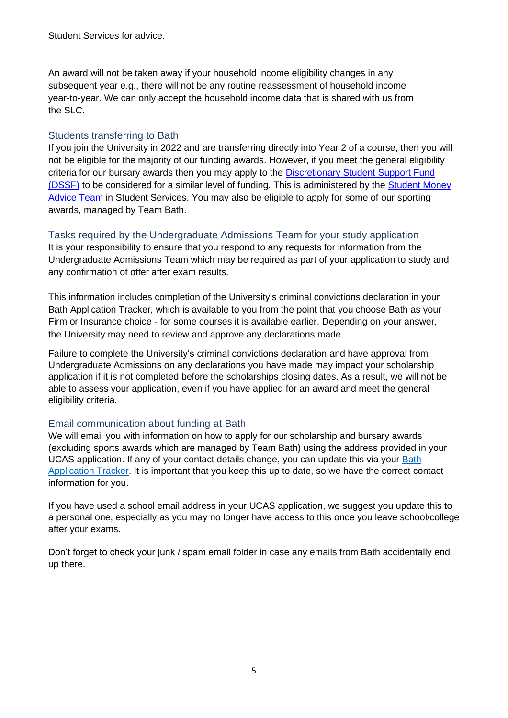Student Services for advice.

An award will not be taken away if your household income eligibility changes in any subsequent year e.g., there will not be any routine reassessment of household income year-to-year. We can only accept the household income data that is shared with us from the SLC.

#### <span id="page-4-0"></span>Students transferring to Bath

If you join the University in 2022 and are transferring directly into Year 2 of a course, then you will not be eligible for the majority of our funding awards. However, if you meet the general eligibility criteria for our bursary awards then you may apply to the [Discretionary Student Support](http://www.bath.ac.uk/guides/discretionary-student-support-fund/) [Fund](http://www.bath.ac.uk/guides/discretionary-student-support-fund/)  [\(DSSF\)](http://www.bath.ac.uk/guides/discretionary-student-support-fund/) to be considered for a similar level of funding. This is administered by the [Student](https://www.bath.ac.uk/professional-services/student-money-advice/) [Money](https://www.bath.ac.uk/professional-services/student-money-advice/)  [Advice Team](https://www.bath.ac.uk/professional-services/student-money-advice/) in Student Services. You may also be eligible to apply for some of our sporting awards, managed by Team Bath.

#### <span id="page-4-1"></span>Tasks required by the Undergraduate Admissions Team for your study application

It is your responsibility to ensure that you respond to any requests for information from the Undergraduate Admissions Team which may be required as part of your application to study and any confirmation of offer after exam results.

This information includes completion of the University's criminal convictions declaration in your Bath Application Tracker, which is available to you from the point that you choose Bath as your Firm or Insurance choice - for some courses it is available earlier. Depending on your answer, the University may need to review and approve any declarations made.

Failure to complete the University's criminal convictions declaration and have approval from Undergraduate Admissions on any declarations you have made may impact your scholarship application if it is not completed before the scholarships closing dates. As a result, we will not be able to assess your application, even if you have applied for an award and meet the general eligibility criteria.

#### <span id="page-4-2"></span>Email communication about funding at Bath

We will email you with information on how to apply for our scholarship and bursary awards (excluding sports awards which are managed by Team Bath) using the address provided in your UCAS application. If any of your contact details change, you can update this via your [Bath](https://www.bath.ac.uk/services/application-tracker-for-undergraduate-courses/)  [Application Tracker.](https://www.bath.ac.uk/services/application-tracker-for-undergraduate-courses/) It is important that you keep this up to date, so we have the correct contact information for you.

If you have used a school email address in your UCAS application, we suggest you update this to a personal one, especially as you may no longer have access to this once you leave school/college after your exams.

Don't forget to check your junk / spam email folder in case any emails from Bath accidentally end up there.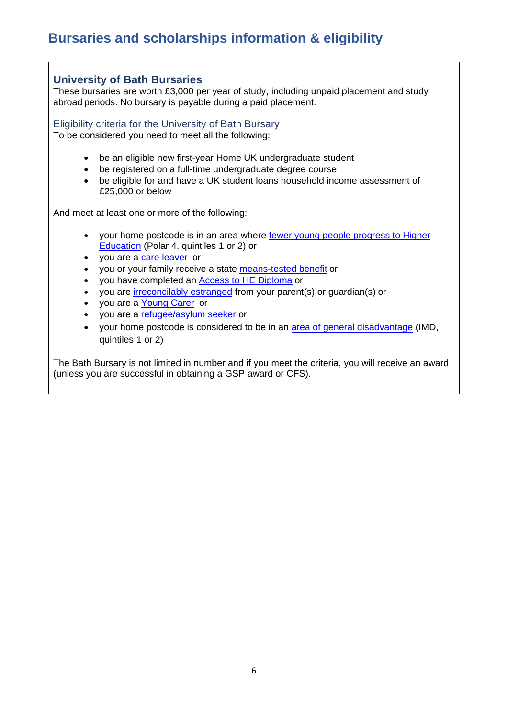# <span id="page-5-0"></span>**Bursaries and scholarships information & eligibility**

 $\Gamma$ 

<span id="page-5-2"></span><span id="page-5-1"></span>

| <b>University of Bath Bursaries</b><br>These bursaries are worth £3,000 per year of study, including unpaid placement and study<br>abroad periods. No bursary is payable during a paid placement.                                      |
|----------------------------------------------------------------------------------------------------------------------------------------------------------------------------------------------------------------------------------------|
| Eligibility criteria for the University of Bath Bursary<br>To be considered you need to meet all the following:                                                                                                                        |
| be an eligible new first-year Home UK undergraduate student<br>be registered on a full-time undergraduate degree course<br>be eligible for and have a UK student loans household income assessment of<br>$\bullet$<br>£25,000 or below |
| And meet at least one or more of the following:                                                                                                                                                                                        |
| your home postcode is in an area where fewer young people progress to Higher<br><b>Education</b> (Polar 4, quintiles 1 or 2) or<br>• you are a care leaver or                                                                          |
| you or your family receive a state means-tested benefit or<br>$\bullet$                                                                                                                                                                |
| you have completed an <b>Access to HE Diploma</b> or<br>$\bullet$                                                                                                                                                                      |
| you are <i>irreconcilably</i> estranged from your parent(s) or guardian(s) or                                                                                                                                                          |
| you are a Young Carer or<br>$\bullet$                                                                                                                                                                                                  |
| • you are a refugee/asylum seeker or                                                                                                                                                                                                   |
| . Vour bome postcode is considered to be in an area of general disadvantage (IMD)                                                                                                                                                      |

• your home postcode is considered to be in an [area of general disadvantage](https://imd-by-postcode.opendatacommunities.org/imd/2019) (IMD, quintiles 1 or 2)

The Bath Bursary is not limited in number and if you meet the criteria, you will receive an award (unless you are successful in obtaining a GSP award or CFS).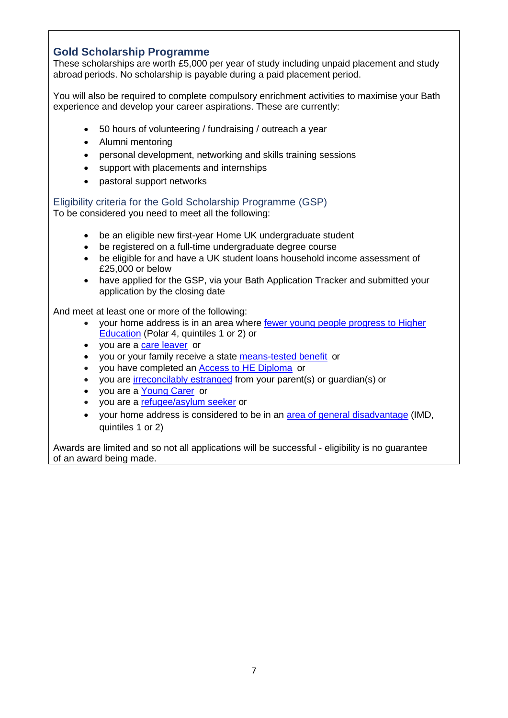### <span id="page-6-0"></span>**Gold Scholarship Programme**

These scholarships are worth £5,000 per year of study including unpaid placement and study abroad periods. No scholarship is payable during a paid placement period.

You will also be required to complete compulsory enrichment activities to maximise your Bath experience and develop your career aspirations. These are currently:

- 50 hours of volunteering / fundraising / outreach a year
- Alumni mentoring
- personal development, networking and skills training sessions
- support with placements and internships
- pastoral support networks

<span id="page-6-1"></span>Eligibility criteria for the Gold Scholarship Programme (GSP)

To be considered you need to meet all the following:

- be an eligible new first-year Home UK undergraduate student
- be registered on a full-time undergraduate degree course
- be eligible for and have a UK student loans household income assessment of £25,000 or below
- have applied for the GSP, via your Bath Application Tracker and submitted your application by the closing date

And meet at least one or more of the following:

- your home address is in an area where [fewer young people progress to Higher](https://www.officeforstudents.org.uk/data-and-analysis/young-participation-by-area/young-participation-by-postcode/)  [Education](https://www.officeforstudents.org.uk/data-and-analysis/young-participation-by-area/young-participation-by-postcode/) (Polar 4, quintiles 1 or 2) or
- you are a [care leaver](https://www.bath.ac.uk/guides/additional-support-and-funding-for-care-leavers-foyer-residents-and-estranged-students/) or
- you or your family receive a state [means-tested benefit](https://www.bath.ac.uk/corporate-information/state-means-tested-benefits/) or
- you have completed an [Access to HE Diploma](http://www.accesstohe.ac.uk/Pages/Default.aspx) or
- you are [irreconcilably estranged](https://www.bath.ac.uk/guides/additional-support-and-funding-for-care-leavers-foyer-residents-and-estranged-students/) from your parent(s) or guardian(s) or
- you are a [Young Carer](https://www.bath.ac.uk/guides/students-with-caring-responsibilities/) or
- you are a [refugee/asylum seeker](https://www.bath.ac.uk/guides/financial-support-for-refugees/) or
- your home address is considered to be in an [area of general disadvantage](https://imd-by-postcode.opendatacommunities.org/imd/2019) (IMD, quintiles 1 or 2)

Awards are limited and so not all applications will be successful - eligibility is no guarantee of an award being made.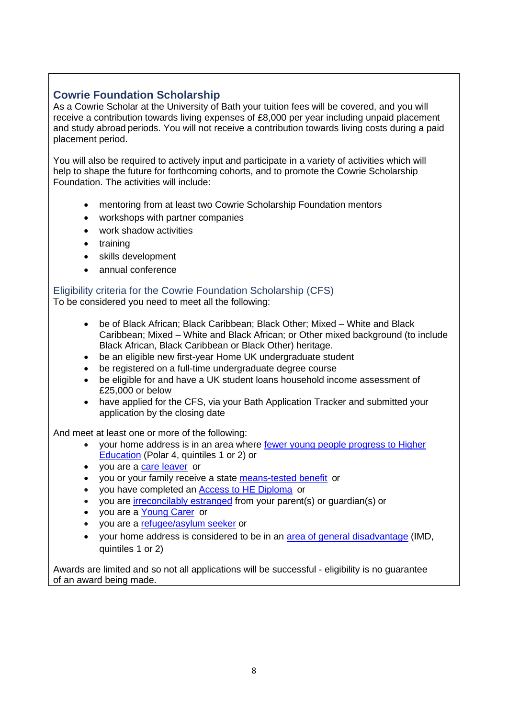#### <span id="page-7-0"></span>**Cowrie Foundation Scholarship**

As a Cowrie Scholar at the University of Bath your tuition fees will be covered, and you will receive a contribution towards living expenses of £8,000 per year including unpaid placement and study abroad periods. You will not receive a contribution towards living costs during a paid placement period.

You will also be required to actively input and participate in a variety of activities which will help to shape the future for forthcoming cohorts, and to promote the Cowrie Scholarship Foundation. The activities will include:

- mentoring from at least two Cowrie Scholarship Foundation mentors
- workshops with partner companies
- work shadow activities
- training
- skills development
- annual conference

#### <span id="page-7-1"></span>Eligibility criteria for the Cowrie Foundation Scholarship (CFS)

To be considered you need to meet all the following:

- be of Black African; Black Caribbean; Black Other; Mixed White and Black Caribbean; Mixed – White and Black African; or Other mixed background (to include Black African, Black Caribbean or Black Other) heritage.
- be an eligible new first-year Home UK undergraduate student
- be registered on a full-time undergraduate degree course
- be eligible for and have a UK student loans household income assessment of £25,000 or below
- have applied for the CFS, via your Bath Application Tracker and submitted your application by the closing date

And meet at least one or more of the following:

- your home address is in an area where [fewer young people progress to Higher](https://www.officeforstudents.org.uk/data-and-analysis/young-participation-by-area/young-participation-by-postcode/)  [Education](https://www.officeforstudents.org.uk/data-and-analysis/young-participation-by-area/young-participation-by-postcode/) (Polar 4, quintiles 1 or 2) or
- you are a [care leaver](https://www.bath.ac.uk/guides/additional-support-and-funding-for-care-leavers-foyer-residents-and-estranged-students/) or
- you or your family receive a state [means-tested benefit](https://www.bath.ac.uk/corporate-information/state-means-tested-benefits/) or
- you have completed an [Access to HE Diploma](http://www.accesstohe.ac.uk/Pages/Default.aspx) or
- vou are [irreconcilably estranged](https://www.bath.ac.uk/guides/additional-support-and-funding-for-care-leavers-foyer-residents-and-estranged-students/) from your parent(s) or quardian(s) or
- you are a [Young Carer](https://www.bath.ac.uk/guides/students-with-caring-responsibilities/) or
- you are a [refugee/asylum seeker](https://www.bath.ac.uk/guides/financial-support-for-refugees/) or
- your home address is considered to be in an [area of general disadvantage](https://imd-by-postcode.opendatacommunities.org/imd/2019) (IMD, quintiles 1 or 2)

Awards are limited and so not all applications will be successful - eligibility is no guarantee of an award being made.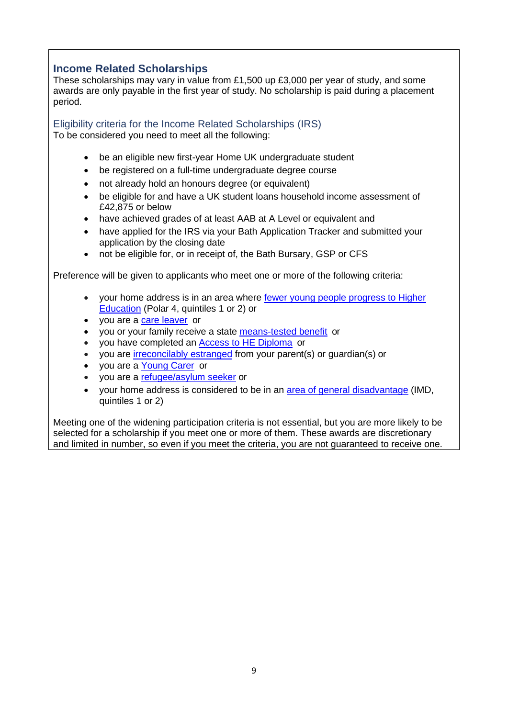#### <span id="page-8-0"></span>**Income Related Scholarships**

These scholarships may vary in value from £1,500 up £3,000 per year of study, and some awards are only payable in the first year of study. No scholarship is paid during a placement period.

<span id="page-8-1"></span>Eligibility criteria for the Income Related Scholarships (IRS) To be considered you need to meet all the following:

- be an eligible new first-year Home UK undergraduate student
- be registered on a full-time undergraduate degree course
- not already hold an honours degree (or equivalent)
- be eligible for and have a UK student loans household income assessment of £42,875 or below
- have achieved grades of at least AAB at A Level or equivalent and
- have applied for the IRS via your Bath Application Tracker and submitted your application by the closing date
- not be eligible for, or in receipt of, the Bath Bursary, GSP or CFS

Preference will be given to applicants who meet one or more of the following criteria:

- your home address is in an area where fewer [young people progress to Higher](https://www.officeforstudents.org.uk/data-and-analysis/young-participation-by-area/young-participation-by-postcode/)  [Education](https://www.officeforstudents.org.uk/data-and-analysis/young-participation-by-area/young-participation-by-postcode/) (Polar 4, quintiles 1 or 2) or
- you are a [care leaver](https://www.bath.ac.uk/guides/additional-support-and-funding-for-care-leavers-foyer-residents-and-estranged-students/) or
- you or your family receive a state [means-tested benefit](https://www.bath.ac.uk/corporate-information/state-means-tested-benefits/) or
- you have completed an [Access to HE Diploma](http://www.accesstohe.ac.uk/Pages/Default.aspx) or
- you are [irreconcilably estranged](https://www.bath.ac.uk/guides/additional-support-and-funding-for-care-leavers-foyer-residents-and-estranged-students/) from your parent(s) or guardian(s) or
- you are a [Young Carer](https://www.bath.ac.uk/guides/students-with-caring-responsibilities/) or
- you are a [refugee/asylum seeker](https://www.bath.ac.uk/guides/financial-support-for-refugees/) or
- your home address is considered to be in an [area of general disadvantage](https://imd-by-postcode.opendatacommunities.org/imd/2019) (IMD, quintiles 1 or 2)

Meeting one of the widening participation criteria is not essential, but you are more likely to be selected for a scholarship if you meet one or more of them. These awards are discretionary and limited in number, so even if you meet the criteria, you are not guaranteed to receive one.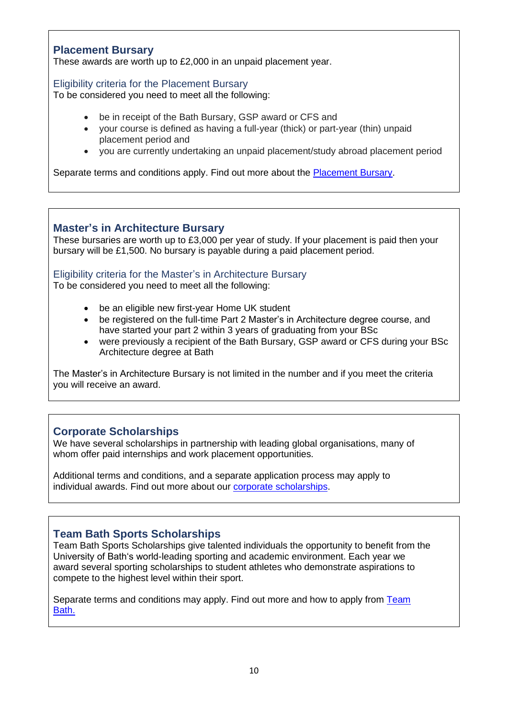#### <span id="page-9-0"></span>**Placement Bursary**

These awards are worth up to £2,000 in an unpaid placement year.

#### <span id="page-9-1"></span>Eligibility criteria for the Placement Bursary

To be considered you need to meet all the following:

- be in receipt of the Bath Bursary, GSP award or CFS and
- your course is defined as having a full-year (thick) or part-year (thin) unpaid placement period and
- you are currently undertaking an unpaid placement/study abroad placement period

Separate terms and conditions apply. Find out more about the [Placement Bursary.](https://www.bath.ac.uk/campaigns/placement-bursary/)

#### <span id="page-9-2"></span>**Master's in Architecture Bursary**

These bursaries are worth up to £3,000 per year of study. If your placement is paid then your bursary will be £1,500. No bursary is payable during a paid placement period.

#### <span id="page-9-3"></span>Eligibility criteria for the Master's in Architecture Bursary

To be considered you need to meet all the following:

- be an eligible new first-year Home UK student
- be registered on the full-time Part 2 Master's in Architecture degree course, and have started your part 2 within 3 years of graduating from your BSc
- were previously a recipient of the Bath Bursary, GSP award or CFS during your BSc Architecture degree at Bath

The Master's in Architecture Bursary is not limited in the number and if you meet the criteria you will receive an award.

#### <span id="page-9-4"></span>**Corporate Scholarships**

We have several scholarships in partnership with leading global organisations, many of whom offer paid internships and work placement opportunities.

Additional terms and conditions, and a separate application process may apply to individual awards. Find out more about our [corporate scholarships.](https://www.bath.ac.uk/topics/undergraduate-scholarships-bursaries-and-other-funding/)

### <span id="page-9-5"></span>**Team Bath Sports Scholarships**

Team Bath Sports Scholarships give talented individuals the opportunity to benefit from the University of Bath's world-leading sporting and academic environment. Each year we award several sporting scholarships to student athletes who demonstrate aspirations to compete to the highest level within their sport.

Separate terms and conditions may apply. Find out more and how to apply from [Team](https://www.teambath.com/athlete-zone/scholarships/)  [Bath.](https://www.teambath.com/athlete-zone/scholarships/)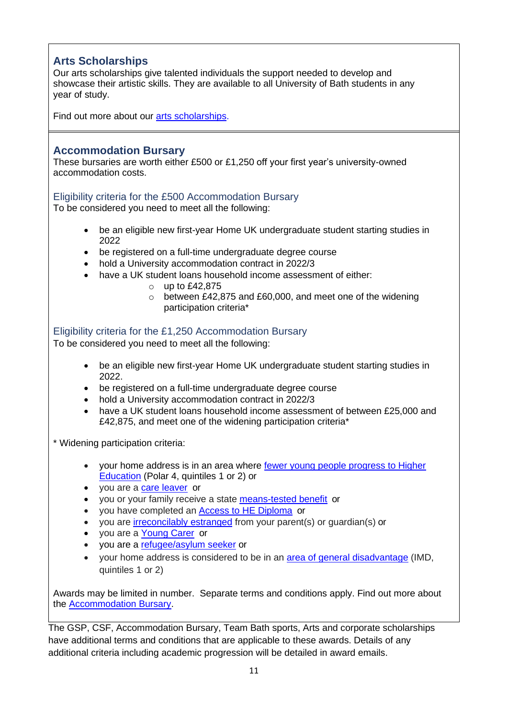### <span id="page-10-0"></span>**Arts Scholarships**

Our arts scholarships give talented individuals the support needed to develop and showcase their artistic skills. They are available to all University of Bath students in any year of study.

Find out more about our [arts scholarships.](https://www.bath.ac.uk/guides/arts-scholarships-and-opportunities/)

#### <span id="page-10-1"></span>**Accommodation Bursary**

These bursaries are worth either £500 or £1,250 off your first year's university-owned accommodation costs.

#### <span id="page-10-2"></span>Eligibility criteria for the £500 Accommodation Bursary

To be considered you need to meet all the following:

- be an eligible new first-year Home UK undergraduate student starting studies in 2022
- be registered on a full-time undergraduate degree course
- hold a University accommodation contract in 2022/3
- have a UK student loans household income assessment of either:
	- $\circ$  up to £42,875
	- o between £42,875 and £60,000, and meet one of the widening participation criteria\*

#### <span id="page-10-3"></span>Eligibility criteria for the £1,250 Accommodation Bursary

To be considered you need to meet all the following:

- be an eligible new first-year Home UK undergraduate student starting studies in 2022.
- be registered on a full-time undergraduate degree course
- hold a University accommodation contract in 2022/3
- have a UK student loans household income assessment of between £25,000 and £42,875, and meet one of the widening participation criteria\*

\* Widening participation criteria:

- your home address is in an area where [fewer young people progress to Higher](https://www.officeforstudents.org.uk/data-and-analysis/young-participation-by-area/young-participation-by-postcode/)  [Education](https://www.officeforstudents.org.uk/data-and-analysis/young-participation-by-area/young-participation-by-postcode/) (Polar 4, quintiles 1 or 2) or
- you are a [care leaver](https://www.bath.ac.uk/guides/additional-support-and-funding-for-care-leavers-foyer-residents-and-estranged-students/) or
- you or your family receive a state [means-tested benefit](https://www.bath.ac.uk/corporate-information/state-means-tested-benefits/) or
- you have completed an [Access to HE Diploma](http://www.accesstohe.ac.uk/Pages/Default.aspx) or
- you are [irreconcilably estranged](https://www.bath.ac.uk/guides/additional-support-and-funding-for-care-leavers-foyer-residents-and-estranged-students/) from your parent(s) or guardian(s) or
- you are a [Young Carer](https://www.bath.ac.uk/guides/students-with-caring-responsibilities/) or
- you are a [refugee/asylum seeker](https://www.bath.ac.uk/guides/financial-support-for-refugees/) or
- vour home address is considered to be in an [area of general disadvantage](https://imd-by-postcode.opendatacommunities.org/imd/2019) (IMD, quintiles 1 or 2)

Awards may be limited in number. Separate terms and conditions apply. Find out more about the [Accommodation Bursary.](https://www.bath.ac.uk/campaigns/accommodation-bursary/)

The GSP, CSF, Accommodation Bursary, Team Bath sports, Arts and corporate scholarships have additional terms and conditions that are applicable to these awards. Details of any additional criteria including academic progression will be detailed in award emails.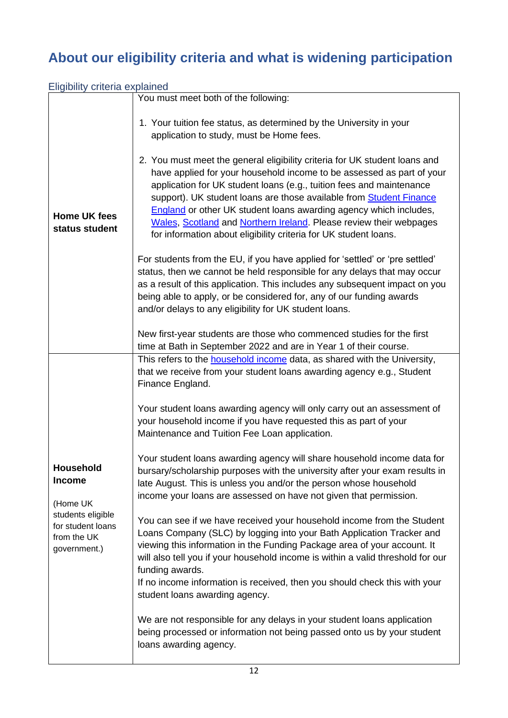# <span id="page-11-0"></span>**About our eligibility criteria and what is widening participation**

<span id="page-11-1"></span>

| Eligibility criteria explained                                        |                                                                                                                                                                                                                                                                                                                                                                                                                                                   |  |
|-----------------------------------------------------------------------|---------------------------------------------------------------------------------------------------------------------------------------------------------------------------------------------------------------------------------------------------------------------------------------------------------------------------------------------------------------------------------------------------------------------------------------------------|--|
|                                                                       | You must meet both of the following:                                                                                                                                                                                                                                                                                                                                                                                                              |  |
|                                                                       | 1. Your tuition fee status, as determined by the University in your<br>application to study, must be Home fees.<br>2. You must meet the general eligibility criteria for UK student loans and<br>have applied for your household income to be assessed as part of your                                                                                                                                                                            |  |
| <b>Home UK fees</b><br>status student                                 | application for UK student loans (e.g., tuition fees and maintenance<br>support). UK student loans are those available from Student Finance<br><b>England</b> or other UK student loans awarding agency which includes,<br>Wales, Scotland and Northern Ireland. Please review their webpages<br>for information about eligibility criteria for UK student loans.                                                                                 |  |
|                                                                       | For students from the EU, if you have applied for 'settled' or 'pre settled'<br>status, then we cannot be held responsible for any delays that may occur<br>as a result of this application. This includes any subsequent impact on you<br>being able to apply, or be considered for, any of our funding awards<br>and/or delays to any eligibility for UK student loans.                                                                         |  |
|                                                                       | New first-year students are those who commenced studies for the first<br>time at Bath in September 2022 and are in Year 1 of their course.                                                                                                                                                                                                                                                                                                        |  |
|                                                                       | This refers to the <b>household</b> income data, as shared with the University,<br>that we receive from your student loans awarding agency e.g., Student<br>Finance England.                                                                                                                                                                                                                                                                      |  |
|                                                                       | Your student loans awarding agency will only carry out an assessment of<br>your household income if you have requested this as part of your<br>Maintenance and Tuition Fee Loan application.                                                                                                                                                                                                                                                      |  |
| Household<br><b>Income</b><br>(Home UK                                | Your student loans awarding agency will share household income data for<br>bursary/scholarship purposes with the university after your exam results in<br>late August. This is unless you and/or the person whose household<br>income your loans are assessed on have not given that permission.                                                                                                                                                  |  |
| students eligible<br>for student loans<br>from the UK<br>government.) | You can see if we have received your household income from the Student<br>Loans Company (SLC) by logging into your Bath Application Tracker and<br>viewing this information in the Funding Package area of your account. It<br>will also tell you if your household income is within a valid threshold for our<br>funding awards.<br>If no income information is received, then you should check this with your<br>student loans awarding agency. |  |
|                                                                       | We are not responsible for any delays in your student loans application<br>being processed or information not being passed onto us by your student<br>loans awarding agency.                                                                                                                                                                                                                                                                      |  |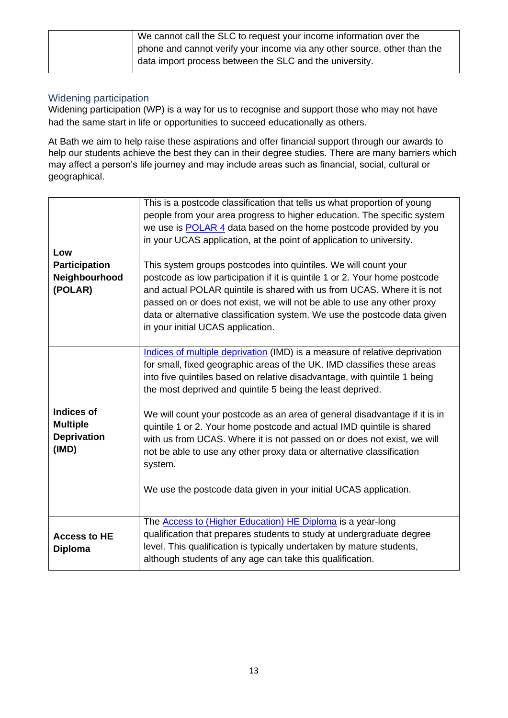| We cannot call the SLC to request your income information over the       |
|--------------------------------------------------------------------------|
| phone and cannot verify your income via any other source, other than the |
| data import process between the SLC and the university.                  |

#### <span id="page-12-0"></span>Widening participation

Widening participation (WP) is a way for us to recognise and support those who may not have had the same start in life or opportunities to succeed educationally as others.

At Bath we aim to help raise these aspirations and offer financial support through our awards to help our students achieve the best they can in their degree studies. There are many barriers which may affect a person's life journey and may include areas such as financial, social, cultural or geographical.

| Low<br><b>Participation</b><br>Neighbourhood<br>(POLAR)             | This is a postcode classification that tells us what proportion of young<br>people from your area progress to higher education. The specific system<br>we use is POLAR 4 data based on the home postcode provided by you<br>in your UCAS application, at the point of application to university.<br>This system groups postcodes into quintiles. We will count your<br>postcode as low participation if it is quintile 1 or 2. Your home postcode<br>and actual POLAR quintile is shared with us from UCAS. Where it is not<br>passed on or does not exist, we will not be able to use any other proxy<br>data or alternative classification system. We use the postcode data given<br>in your initial UCAS application. |
|---------------------------------------------------------------------|--------------------------------------------------------------------------------------------------------------------------------------------------------------------------------------------------------------------------------------------------------------------------------------------------------------------------------------------------------------------------------------------------------------------------------------------------------------------------------------------------------------------------------------------------------------------------------------------------------------------------------------------------------------------------------------------------------------------------|
| <b>Indices of</b><br><b>Multiple</b><br><b>Deprivation</b><br>(IMD) | Indices of multiple deprivation (IMD) is a measure of relative deprivation<br>for small, fixed geographic areas of the UK. IMD classifies these areas<br>into five quintiles based on relative disadvantage, with quintile 1 being<br>the most deprived and quintile 5 being the least deprived.<br>We will count your postcode as an area of general disadvantage if it is in<br>quintile 1 or 2. Your home postcode and actual IMD quintile is shared<br>with us from UCAS. Where it is not passed on or does not exist, we will<br>not be able to use any other proxy data or alternative classification<br>system.<br>We use the postcode data given in your initial UCAS application.                               |
| <b>Access to HE</b><br><b>Diploma</b>                               | The <b>Access to (Higher Education) HE Diploma</b> is a year-long<br>qualification that prepares students to study at undergraduate degree<br>level. This qualification is typically undertaken by mature students,<br>although students of any age can take this qualification.                                                                                                                                                                                                                                                                                                                                                                                                                                         |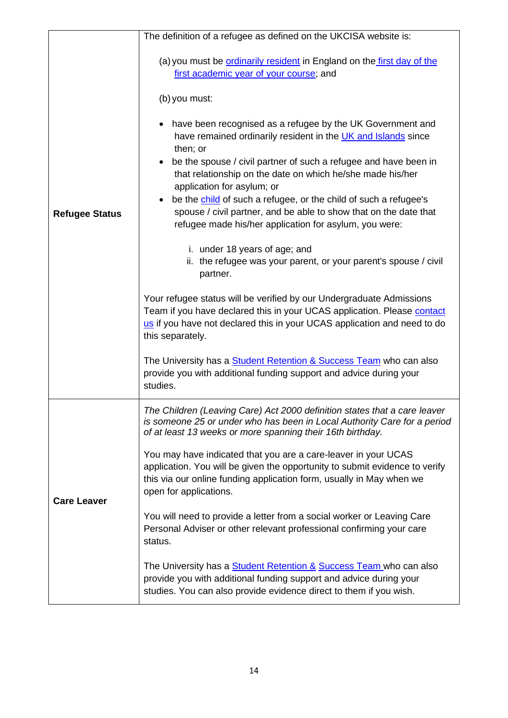|                       | The definition of a refugee as defined on the UKCISA website is:                                                                                                                                                                                                                                                                                                                                                                                                                                                                                                                                                                                                                                                                                                                                                                                                                                                                                                                                                                                                |
|-----------------------|-----------------------------------------------------------------------------------------------------------------------------------------------------------------------------------------------------------------------------------------------------------------------------------------------------------------------------------------------------------------------------------------------------------------------------------------------------------------------------------------------------------------------------------------------------------------------------------------------------------------------------------------------------------------------------------------------------------------------------------------------------------------------------------------------------------------------------------------------------------------------------------------------------------------------------------------------------------------------------------------------------------------------------------------------------------------|
|                       | (a) you must be ordinarily resident in England on the first day of the<br>first academic year of your course; and<br>(b) you must:                                                                                                                                                                                                                                                                                                                                                                                                                                                                                                                                                                                                                                                                                                                                                                                                                                                                                                                              |
| <b>Refugee Status</b> | have been recognised as a refugee by the UK Government and<br>$\bullet$<br>have remained ordinarily resident in the UK and Islands since<br>then; or<br>be the spouse / civil partner of such a refugee and have been in<br>that relationship on the date on which he/she made his/her<br>application for asylum; or<br>be the child of such a refugee, or the child of such a refugee's<br>$\bullet$<br>spouse / civil partner, and be able to show that on the date that<br>refugee made his/her application for asylum, you were:<br>i. under 18 years of age; and<br>ii. the refugee was your parent, or your parent's spouse / civil<br>partner.<br>Your refugee status will be verified by our Undergraduate Admissions<br>Team if you have declared this in your UCAS application. Please contact<br>us if you have not declared this in your UCAS application and need to do<br>this separately.<br>The University has a <b>Student Retention &amp; Success Team</b> who can also<br>provide you with additional funding support and advice during your |
|                       | studies.<br>The Children (Leaving Care) Act 2000 definition states that a care leaver                                                                                                                                                                                                                                                                                                                                                                                                                                                                                                                                                                                                                                                                                                                                                                                                                                                                                                                                                                           |
|                       | is someone 25 or under who has been in Local Authority Care for a period<br>of at least 13 weeks or more spanning their 16th birthday.<br>You may have indicated that you are a care-leaver in your UCAS                                                                                                                                                                                                                                                                                                                                                                                                                                                                                                                                                                                                                                                                                                                                                                                                                                                        |
| <b>Care Leaver</b>    | application. You will be given the opportunity to submit evidence to verify<br>this via our online funding application form, usually in May when we<br>open for applications.                                                                                                                                                                                                                                                                                                                                                                                                                                                                                                                                                                                                                                                                                                                                                                                                                                                                                   |
|                       | You will need to provide a letter from a social worker or Leaving Care<br>Personal Adviser or other relevant professional confirming your care<br>status.                                                                                                                                                                                                                                                                                                                                                                                                                                                                                                                                                                                                                                                                                                                                                                                                                                                                                                       |
|                       | The University has a <b>Student Retention &amp; Success Team</b> who can also<br>provide you with additional funding support and advice during your<br>studies. You can also provide evidence direct to them if you wish.                                                                                                                                                                                                                                                                                                                                                                                                                                                                                                                                                                                                                                                                                                                                                                                                                                       |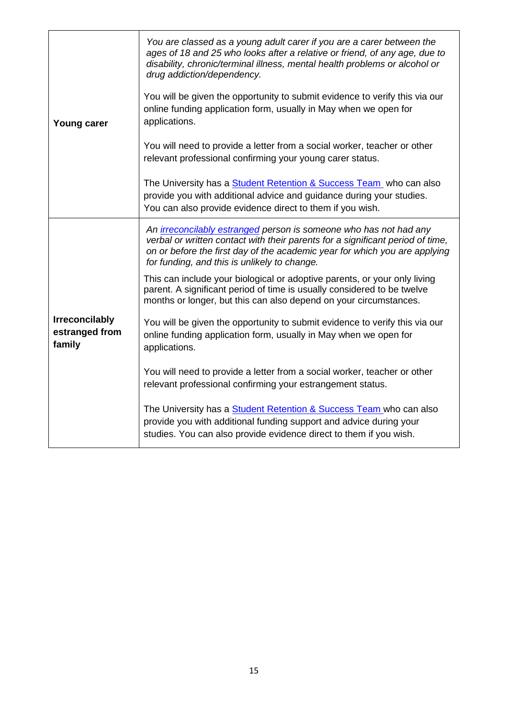| <b>Young carer</b>                                | You are classed as a young adult carer if you are a carer between the<br>ages of 18 and 25 who looks after a relative or friend, of any age, due to<br>disability, chronic/terminal illness, mental health problems or alcohol or<br>drug addiction/dependency.<br>You will be given the opportunity to submit evidence to verify this via our<br>online funding application form, usually in May when we open for<br>applications.<br>You will need to provide a letter from a social worker, teacher or other<br>relevant professional confirming your young carer status.<br>The University has a <b>Student Retention &amp; Success Team</b> who can also |
|---------------------------------------------------|---------------------------------------------------------------------------------------------------------------------------------------------------------------------------------------------------------------------------------------------------------------------------------------------------------------------------------------------------------------------------------------------------------------------------------------------------------------------------------------------------------------------------------------------------------------------------------------------------------------------------------------------------------------|
|                                                   | provide you with additional advice and guidance during your studies.<br>You can also provide evidence direct to them if you wish.                                                                                                                                                                                                                                                                                                                                                                                                                                                                                                                             |
|                                                   | An irreconcilably estranged person is someone who has not had any<br>verbal or written contact with their parents for a significant period of time,<br>on or before the first day of the academic year for which you are applying<br>for funding, and this is unlikely to change.<br>This can include your biological or adoptive parents, or your only living                                                                                                                                                                                                                                                                                                |
|                                                   | parent. A significant period of time is usually considered to be twelve<br>months or longer, but this can also depend on your circumstances.                                                                                                                                                                                                                                                                                                                                                                                                                                                                                                                  |
| <b>Irreconcilably</b><br>estranged from<br>family | You will be given the opportunity to submit evidence to verify this via our<br>online funding application form, usually in May when we open for<br>applications.                                                                                                                                                                                                                                                                                                                                                                                                                                                                                              |
|                                                   | You will need to provide a letter from a social worker, teacher or other<br>relevant professional confirming your estrangement status.                                                                                                                                                                                                                                                                                                                                                                                                                                                                                                                        |
|                                                   | The University has a <b>Student Retention &amp; Success Team</b> who can also<br>provide you with additional funding support and advice during your<br>studies. You can also provide evidence direct to them if you wish.                                                                                                                                                                                                                                                                                                                                                                                                                                     |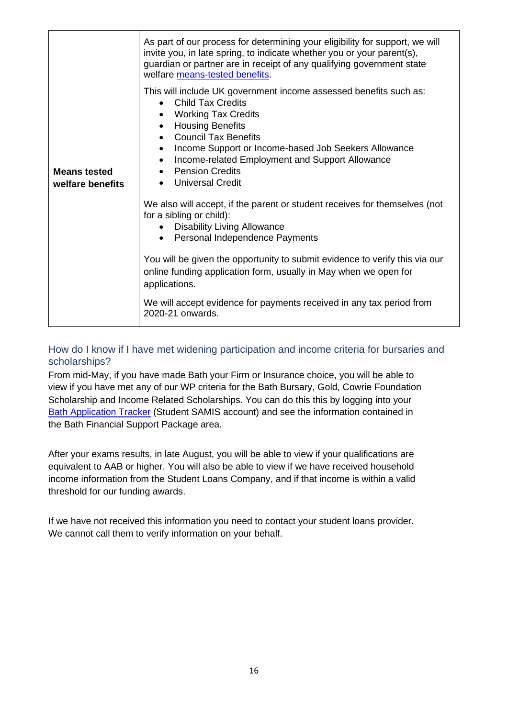|                                         | As part of our process for determining your eligibility for support, we will<br>invite you, in late spring, to indicate whether you or your parent(s),<br>guardian or partner are in receipt of any qualifying government state<br>welfare means-tested benefits.                                                                                                                                                                           |
|-----------------------------------------|---------------------------------------------------------------------------------------------------------------------------------------------------------------------------------------------------------------------------------------------------------------------------------------------------------------------------------------------------------------------------------------------------------------------------------------------|
| <b>Means tested</b><br>welfare benefits | This will include UK government income assessed benefits such as:<br><b>Child Tax Credits</b><br>$\bullet$<br><b>Working Tax Credits</b><br>$\bullet$<br><b>Housing Benefits</b><br>$\bullet$<br><b>Council Tax Benefits</b><br>$\bullet$<br>Income Support or Income-based Job Seekers Allowance<br>$\bullet$<br>Income-related Employment and Support Allowance<br>$\bullet$<br>• Pension Credits<br><b>Universal Credit</b><br>$\bullet$ |
|                                         | We also will accept, if the parent or student receives for themselves (not<br>for a sibling or child):<br>• Disability Living Allowance<br>Personal Independence Payments<br>$\bullet$<br>You will be given the opportunity to submit evidence to verify this via our<br>online funding application form, usually in May when we open for<br>applications.                                                                                  |
|                                         | We will accept evidence for payments received in any tax period from<br>2020-21 onwards.                                                                                                                                                                                                                                                                                                                                                    |

#### <span id="page-15-0"></span>How do I know if I have met widening participation and income criteria for bursaries and scholarships?

From mid-May, if you have made Bath your Firm or Insurance choice, you will be able to view if you have met any of our WP criteria for the Bath Bursary, Gold, Cowrie Foundation Scholarship and Income Related Scholarships. You can do this this by logging into your [Bath Application Tracker](https://www.bath.ac.uk/services/application-tracker-for-undergraduate-courses/) (Student SAMIS account) and see the information contained in the Bath Financial Support Package area.

After your exams results, in late August, you will be able to view if your qualifications are equivalent to AAB or higher. You will also be able to view if we have received household income information from the Student Loans Company, and if that income is within a valid threshold for our funding awards.

If we have not received this information you need to contact your student loans provider. We cannot call them to verify information on your behalf.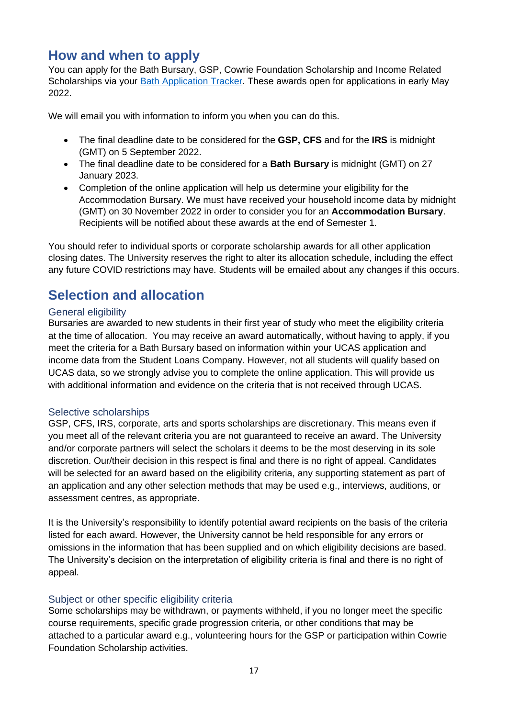## <span id="page-16-0"></span>**How and when to apply**

You can apply for the Bath Bursary, GSP, Cowrie Foundation Scholarship and Income Related Scholarships via your [Bath Application Tracker.](https://www.bath.ac.uk/services/application-tracker-for-undergraduate-courses/) These awards open for applications in early May 2022.

We will email you with information to inform you when you can do this.

- The final deadline date to be considered for the **GSP, CFS** and for the **IRS** is midnight (GMT) on 5 September 2022.
- The final deadline date to be considered for a **Bath Bursary** is midnight (GMT) on 27 January 2023.
- Completion of the online application will help us determine your eligibility for the Accommodation Bursary. We must have received your household income data by midnight (GMT) on 30 November 2022 in order to consider you for an **Accommodation Bursary**. Recipients will be notified about these awards at the end of Semester 1.

You should refer to individual sports or corporate scholarship awards for all other application closing dates. The University reserves the right to alter its allocation schedule, including the effect any future COVID restrictions may have. Students will be emailed about any changes if this occurs.

# <span id="page-16-1"></span>**Selection and allocation**

#### <span id="page-16-2"></span>General eligibility

Bursaries are awarded to new students in their first year of study who meet the eligibility criteria at the time of allocation. You may receive an award automatically, without having to apply, if you meet the criteria for a Bath Bursary based on information within your UCAS application and income data from the Student Loans Company. However, not all students will qualify based on UCAS data, so we strongly advise you to complete the online application. This will provide us with additional information and evidence on the criteria that is not received through UCAS.

#### <span id="page-16-3"></span>Selective scholarships

GSP, CFS, IRS, corporate, arts and sports scholarships are discretionary. This means even if you meet all of the relevant criteria you are not guaranteed to receive an award. The University and/or corporate partners will select the scholars it deems to be the most deserving in its sole discretion. Our/their decision in this respect is final and there is no right of appeal. Candidates will be selected for an award based on the eligibility criteria, any supporting statement as part of an application and any other selection methods that may be used e.g., interviews, auditions, or assessment centres, as appropriate.

It is the University's responsibility to identify potential award recipients on the basis of the criteria listed for each award. However, the University cannot be held responsible for any errors or omissions in the information that has been supplied and on which eligibility decisions are based. The University's decision on the interpretation of eligibility criteria is final and there is no right of appeal.

#### <span id="page-16-4"></span>Subject or other specific eligibility criteria

Some scholarships may be withdrawn, or payments withheld, if you no longer meet the specific course requirements, specific grade progression criteria, or other conditions that may be attached to a particular award e.g., volunteering hours for the GSP or participation within Cowrie Foundation Scholarship activities.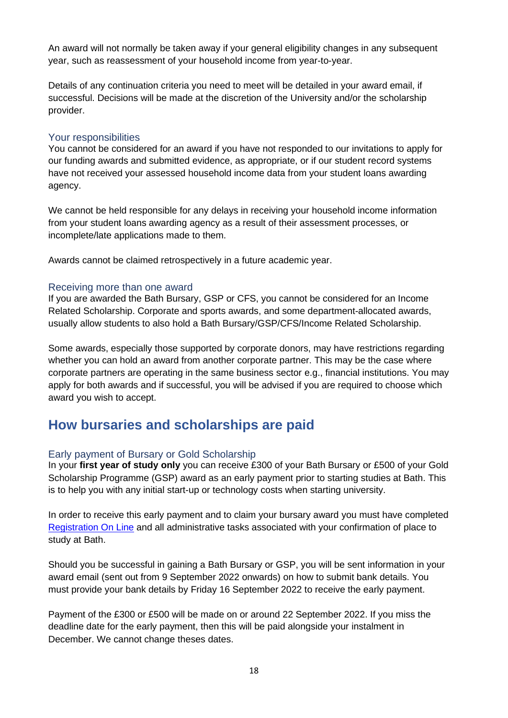An award will not normally be taken away if your general eligibility changes in any subsequent year, such as reassessment of your household income from year-to-year.

Details of any continuation criteria you need to meet will be detailed in your award email, if successful. Decisions will be made at the discretion of the University and/or the scholarship provider.

#### <span id="page-17-0"></span>Your responsibilities

You cannot be considered for an award if you have not responded to our invitations to apply for our funding awards and submitted evidence, as appropriate, or if our student record systems have not received your assessed household income data from your student loans awarding agency.

We cannot be held responsible for any delays in receiving your household income information from your student loans awarding agency as a result of their assessment processes, or incomplete/late applications made to them.

Awards cannot be claimed retrospectively in a future academic year.

#### <span id="page-17-1"></span>Receiving more than one award

If you are awarded the Bath Bursary, GSP or CFS, you cannot be considered for an Income Related Scholarship. Corporate and sports awards, and some department-allocated awards, usually allow students to also hold a Bath Bursary/GSP/CFS/Income Related Scholarship.

Some awards, especially those supported by corporate donors, may have restrictions regarding whether you can hold an award from another corporate partner. This may be the case where corporate partners are operating in the same business sector e.g., financial institutions. You may apply for both awards and if successful, you will be advised if you are required to choose which award you wish to accept.

### <span id="page-17-2"></span>**How bursaries and scholarships are paid**

#### <span id="page-17-3"></span>Early payment of Bursary or Gold Scholarship

In your **first year of study only** you can receive £300 of your Bath Bursary or £500 of your Gold Scholarship Programme (GSP) award as an early payment prior to starting studies at Bath. This is to help you with any initial start-up or technology costs when starting university.

In order to receive this early payment and to claim your bursary award you must have completed [Registration On Line](https://www.bath.ac.uk/services/register-as-a-student-of-the-university-and-update-your-details/) and all administrative tasks associated with your confirmation of place to study at Bath.

Should you be successful in gaining a Bath Bursary or GSP, you will be sent information in your award email (sent out from 9 September 2022 onwards) on how to submit bank details. You must provide your bank details by Friday 16 September 2022 to receive the early payment.

Payment of the £300 or £500 will be made on or around 22 September 2022. If you miss the deadline date for the early payment, then this will be paid alongside your instalment in December. We cannot change theses dates.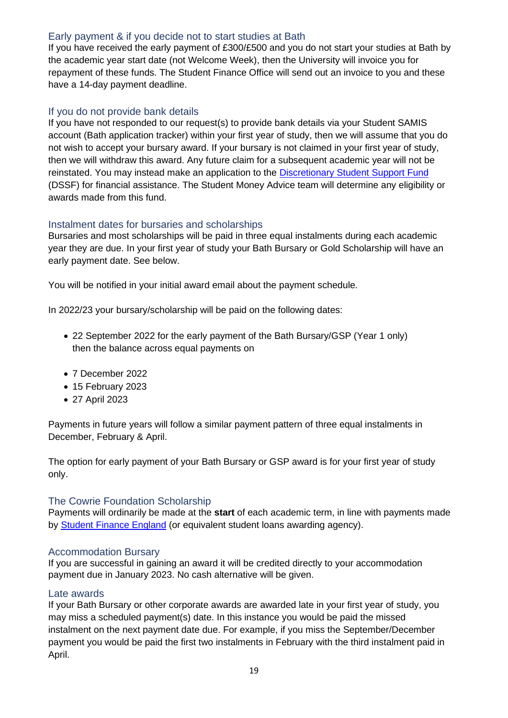#### <span id="page-18-0"></span>Early payment & if you decide not to start studies at Bath

If you have received the early payment of £300/£500 and you do not start your studies at Bath by the academic year start date (not Welcome Week), then the University will invoice you for repayment of these funds. The Student Finance Office will send out an invoice to you and these have a 14-day payment deadline.

#### <span id="page-18-1"></span>If you do not provide bank details

If you have not responded to our request(s) to provide bank details via your Student SAMIS account (Bath application tracker) within your first year of study, then we will assume that you do not wish to accept your bursary award. If your bursary is not claimed in your first year of study, then we will withdraw this award. Any future claim for a subsequent academic year will not be reinstated. You may instead make an application to the [Discretionary Student Support Fund](http://www.bath.ac.uk/guides/discretionary-student-support-fund/) [\(DSSF\) f](http://www.bath.ac.uk/guides/discretionary-student-support-fund/)or financial assistance. The Student Money Advice team will determine any eligibility or awards made from this fund.

#### <span id="page-18-2"></span>Instalment dates for bursaries and scholarships

Bursaries and most scholarships will be paid in three equal instalments during each academic year they are due. In your first year of study your Bath Bursary or Gold Scholarship will have an early payment date. See below.

You will be notified in your initial award email about the payment schedule.

In 2022/23 your bursary/scholarship will be paid on the following dates:

- 22 September 2022 for the early payment of the Bath Bursary/GSP (Year 1 only) then the balance across equal payments on
- 7 December 2022
- 15 February 2023
- 27 April 2023

Payments in future years will follow a similar payment pattern of three equal instalments in December, February & April.

The option for early payment of your Bath Bursary or GSP award is for your first year of study only.

#### <span id="page-18-3"></span>The Cowrie Foundation Scholarship

Payments will ordinarily be made at the **start** of each academic term, in line with payments made by [Student Finance England](https://www.gov.uk/student-finance) (or equivalent student loans awarding agency).

#### <span id="page-18-4"></span>Accommodation Bursary

If you are successful in gaining an award it will be credited directly to your accommodation payment due in January 2023. No cash alternative will be given.

#### <span id="page-18-5"></span>Late awards

If your Bath Bursary or other corporate awards are awarded late in your first year of study, you may miss a scheduled payment(s) date. In this instance you would be paid the missed instalment on the next payment date due. For example, if you miss the September/December payment you would be paid the first two instalments in February with the third instalment paid in April.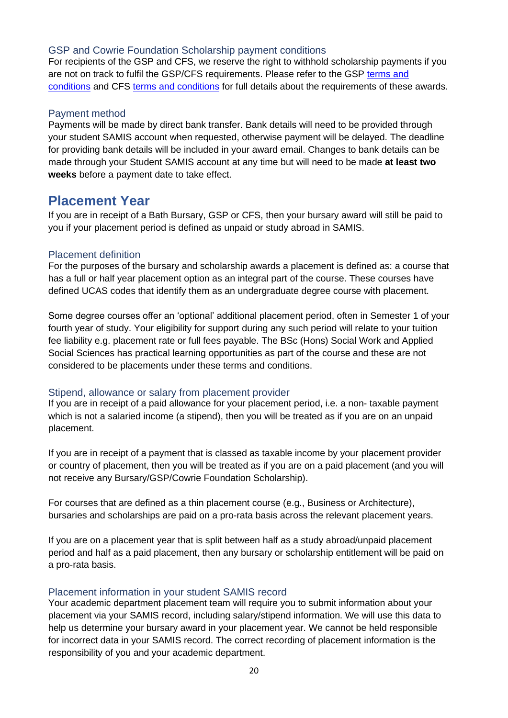#### <span id="page-19-0"></span>GSP and Cowrie Foundation Scholarship payment conditions

For recipients of the GSP and CFS, we reserve the right to withhold scholarship payments if you are not on track to fulfil the GSP/CFS requirements. Please refer to the GSP [terms and](https://www.bath.ac.uk/publications/undergraduate-bursaries-and-scholarships-terms-and-conditions-2022-23/attachments/Gold-Scholarship-Programme-terms-conditions_2022-23.pdf)  [conditions](https://www.bath.ac.uk/publications/undergraduate-bursaries-and-scholarships-terms-and-conditions-2022-23/attachments/Gold-Scholarship-Programme-terms-conditions_2022-23.pdf) and CFS [terms and conditions](https://www.bath.ac.uk/publications/undergraduate-bursaries-and-scholarships-terms-and-conditions-2022-23/attachments/Cowrie_Foundation_Scholarship_terms_and_conditions_2022-2023.pdf) for full details about the requirements of these awards.

#### <span id="page-19-1"></span>Payment method

Payments will be made by direct bank transfer. Bank details will need to be provided through your student SAMIS account when requested, otherwise payment will be delayed. The deadline for providing bank details will be included in your award email. Changes to bank details can be made through your Student SAMIS account at any time but will need to be made **at least two weeks** before a payment date to take effect.

### <span id="page-19-2"></span>**Placement Year**

If you are in receipt of a Bath Bursary, GSP or CFS, then your bursary award will still be paid to you if your placement period is defined as unpaid or study abroad in SAMIS.

#### <span id="page-19-3"></span>Placement definition

For the purposes of the bursary and scholarship awards a placement is defined as: a course that has a full or half year placement option as an integral part of the course. These courses have defined UCAS codes that identify them as an undergraduate degree course with placement.

Some degree courses offer an 'optional' additional placement period, often in Semester 1 of your fourth year of study. Your eligibility for support during any such period will relate to your tuition fee liability e.g. placement rate or full fees payable. The BSc (Hons) Social Work and Applied Social Sciences has practical learning opportunities as part of the course and these are not considered to be placements under these terms and conditions.

#### <span id="page-19-4"></span>Stipend, allowance or salary from placement provider

If you are in receipt of a paid allowance for your placement period, i.e. a non- taxable payment which is not a salaried income (a stipend), then you will be treated as if you are on an unpaid placement.

If you are in receipt of a payment that is classed as taxable income by your placement provider or country of placement, then you will be treated as if you are on a paid placement (and you will not receive any Bursary/GSP/Cowrie Foundation Scholarship).

For courses that are defined as a thin placement course (e.g., Business or Architecture), bursaries and scholarships are paid on a pro-rata basis across the relevant placement years.

If you are on a placement year that is split between half as a study abroad/unpaid placement period and half as a paid placement, then any bursary or scholarship entitlement will be paid on a pro-rata basis.

#### <span id="page-19-5"></span>Placement information in your student SAMIS record

Your academic department placement team will require you to submit information about your placement via your SAMIS record, including salary/stipend information. We will use this data to help us determine your bursary award in your placement year. We cannot be held responsible for incorrect data in your SAMIS record. The correct recording of placement information is the responsibility of you and your academic department.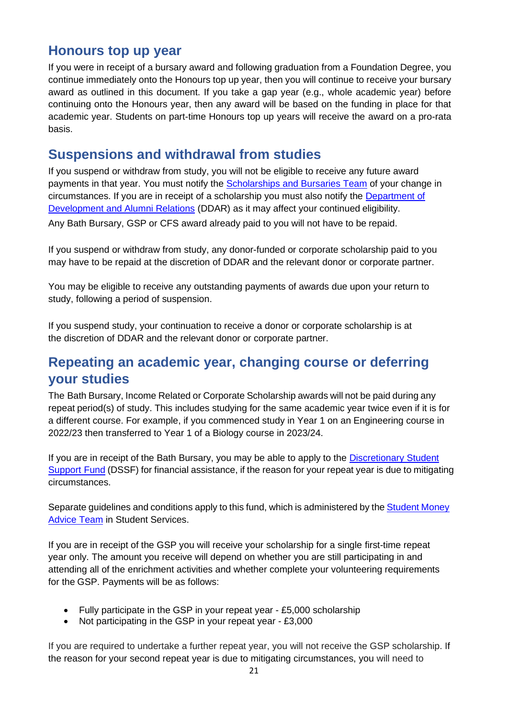### <span id="page-20-0"></span>**Honours top up year**

If you were in receipt of a bursary award and following graduation from a Foundation Degree, you continue immediately onto the Honours top up year, then you will continue to receive your bursary award as outlined in this document. If you take a gap year (e.g., whole academic year) before continuing onto the Honours year, then any award will be based on the funding in place for that academic year. Students on part-time Honours top up years will receive the award on a pro-rata basis.

# <span id="page-20-1"></span>**Suspensions and withdrawal from studies**

If you suspend or withdraw from study, you will not be eligible to receive any future award payments in that year. You must notify the [Scholarships and Bursaries Team](mailto:undergraduatefunding@bath.ac.uk) of your change in circumstances. If you are in receipt of a scholarship you must also notify the [Department of](mailto:alumni-scholarships@bath.ac.uk) [Development and Alumni Relations](mailto:alumni-scholarships@bath.ac.uk) (DDAR) as it may affect your continued eligibility. Any Bath Bursary, GSP or CFS award already paid to you will not have to be repaid.

If you suspend or withdraw from study, any donor-funded or corporate scholarship paid to you may have to be repaid at the discretion of DDAR and the relevant donor or corporate partner.

You may be eligible to receive any outstanding payments of awards due upon your return to study, following a period of suspension.

If you suspend study, your continuation to receive a donor or corporate scholarship is at the discretion of DDAR and the relevant donor or corporate partner.

# <span id="page-20-2"></span>**Repeating an academic year, changing course or deferring your studies**

The Bath Bursary, Income Related or Corporate Scholarship awards will not be paid during any repeat period(s) of study. This includes studying for the same academic year twice even if it is for a different course. For example, if you commenced study in Year 1 on an Engineering course in 2022/23 then transferred to Year 1 of a Biology course in 2023/24.

If you are in receipt of the Bath Bursary, you may be able to apply to the Discretionary Student [Support](http://www.bath.ac.uk/guides/discretionary-student-support-fund/) Fund [\(DSSF\)](http://www.bath.ac.uk/guides/discretionary-student-support-fund/) for financial assistance, if the reason for your repeat year is due to mitigating circumstances.

Separate guidelines and conditions apply to this fund, which is administered by the **[Student](https://www.bath.ac.uk/professional-services/student-money-advice/) Money** [Advice](https://www.bath.ac.uk/professional-services/student-money-advice/) [Team](http://www.bath.ac.uk/groups/student-money-advice/) in Student Services.

If you are in receipt of the GSP you will receive your scholarship for a single first-time repeat year only. The amount you receive will depend on whether you are still participating in and attending all of the enrichment activities and whether complete your volunteering requirements for the GSP. Payments will be as follows:

- Fully participate in the GSP in your repeat year £5,000 scholarship
- Not participating in the GSP in your repeat year £3,000

If you are required to undertake a further repeat year, you will not receive the GSP scholarship. If the reason for your second repeat year is due to mitigating circumstances, you will need to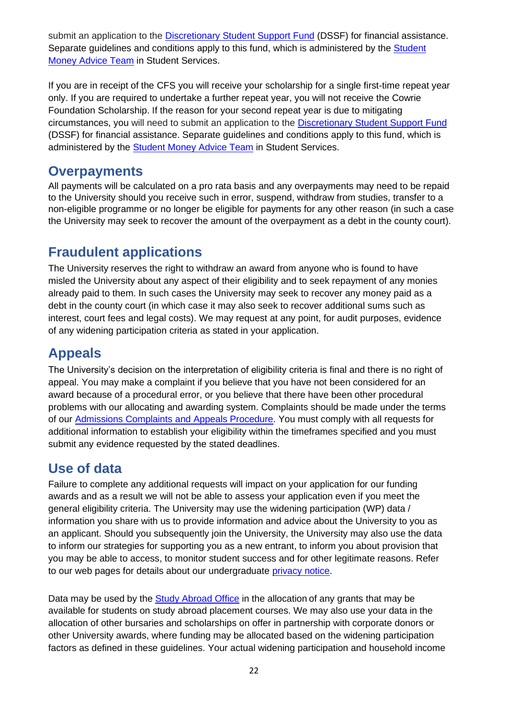submit an application to the [Discretionary Student Support Fund](http://www.bath.ac.uk/guides/discretionary-student-support-fund/) (DSSF) for financial assistance. Separate guidelines and conditions apply to this fund, which is administered by the Student [Money Advice Team](https://www.bath.ac.uk/professional-services/student-money-advice/) in Student Services.

If you are in receipt of the CFS you will receive your scholarship for a single first-time repeat year only. If you are required to undertake a further repeat year, you will not receive the Cowrie Foundation Scholarship. If the reason for your second repeat year is due to mitigating circumstances, you will need to submit an application to the [Discretionary Student Support Fund](http://www.bath.ac.uk/guides/discretionary-student-support-fund/) [\(DSSF\) f](http://www.bath.ac.uk/guides/discretionary-student-support-fund/)or financial assistance. Separate guidelines and conditions apply to this fund, which is administered by the [Student Money Advice Team](https://www.bath.ac.uk/professional-services/student-money-advice/) in Student Services.

## <span id="page-21-0"></span>**Overpayments**

All payments will be calculated on a pro rata basis and any overpayments may need to be repaid to the University should you receive such in error, suspend, withdraw from studies, transfer to a non-eligible programme or no longer be eligible for payments for any other reason (in such a case the University may seek to recover the amount of the overpayment as a debt in the county court).

# <span id="page-21-1"></span>**Fraudulent applications**

The University reserves the right to withdraw an award from anyone who is found to have misled the University about any aspect of their eligibility and to seek repayment of any monies already paid to them. In such cases the University may seek to recover any money paid as a debt in the county court (in which case it may also seek to recover additional sums such as interest, court fees and legal costs). We may request at any point, for audit purposes, evidence of any widening participation criteria as stated in your application.

# <span id="page-21-2"></span>**Appeals**

The University's decision on the interpretation of eligibility criteria is final and there is no right of appeal. You may make a complaint if you believe that you have not been considered for an award because of a procedural error, or you believe that there have been other procedural problems with our allocating and awarding system. Complaints should be made under the terms of our [Admissions](http://www.bath.ac.uk/corporate-information/applicant-complaints-and-appeals-procedure/) [Complaints and Appeals Procedure. Y](http://www.bath.ac.uk/corporate-information/applicant-complaints-and-appeals-procedure/)ou must comply with all requests for additional information to establish your eligibility within the timeframes specified and you must submit any evidence requested by the stated deadlines.

# <span id="page-21-3"></span>**Use of data**

Failure to complete any additional requests will impact on your application for our funding awards and as a result we will not be able to assess your application even if you meet the general eligibility criteria. The University may use the widening participation (WP) data / information you share with us to provide information and advice about the University to you as an applicant. Should you subsequently join the University, the University may also use the data to inform our strategies for supporting you as a new entrant, to inform you about provision that you may be able to access, to monitor student success and for other legitimate reasons. Refer to our web pages for details about our undergraduate [privacy notice.](https://www.bath.ac.uk/corporate-information/undergraduate-applicant-privacy-notice/) 

Data may be used by the [Study Abroad Office](http://www.bath.ac.uk/campaigns/studying-abroad-as-part-of-your-undergraduate-degree/) in the allocation of any grants that may be available for students on study abroad placement courses. We may also use your data in the allocation of other bursaries and scholarships on offer in partnership with corporate donors or other University awards, where funding may be allocated based on the widening participation factors as defined in these guidelines. Your actual widening participation and household income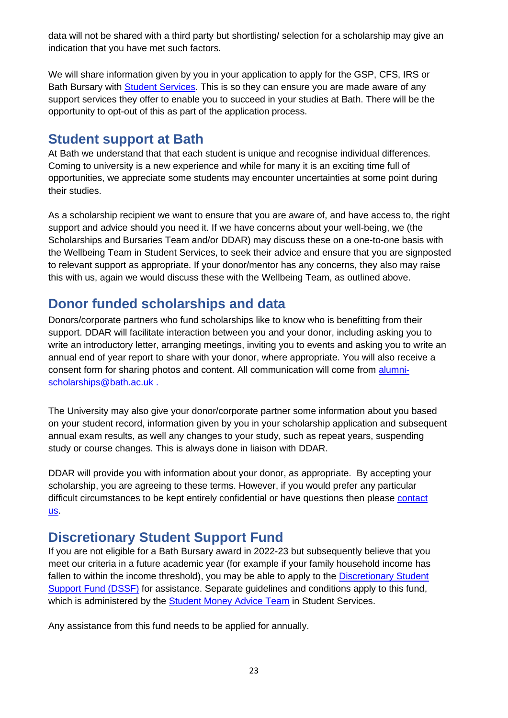data will not be shared with a third party but shortlisting/ selection for a scholarship may give an indication that you have met such factors.

We will share information given by you in your application to apply for the GSP, CFS, IRS or Bath Bursary with **Student Services**. This is so they can ensure you are made aware of any support services they offer to enable you to succeed in your studies at Bath. There will be the opportunity to opt-out of this as part of the application process.

### <span id="page-22-0"></span>**Student support at Bath**

At Bath we understand that that each student is unique and recognise individual differences. Coming to university is a new experience and while for many it is an exciting time full of opportunities, we appreciate some students may encounter uncertainties at some point during their studies.

As a scholarship recipient we want to ensure that you are aware of, and have access to, the right support and advice should you need it. If we have concerns about your well-being, we (the Scholarships and Bursaries Team and/or DDAR) may discuss these on a one-to-one basis with the Wellbeing Team in Student Services, to seek their advice and ensure that you are signposted to relevant support as appropriate. If your donor/mentor has any concerns, they also may raise this with us, again we would discuss these with the Wellbeing Team, as outlined above.

# <span id="page-22-1"></span>**Donor funded scholarships and data**

Donors/corporate partners who fund scholarships like to know who is benefitting from their support. DDAR will facilitate interaction between you and your donor, including asking you to write an introductory letter, arranging meetings, inviting you to events and asking you to write an annual end of year report to share with your donor, where appropriate. You will also receive a consent form for sharing photos and content. All communication will come from [alumni](mailto:alumni-scholarships@bath.ac.uk)[scholarships@bath.ac.uk .](mailto:alumni-scholarships@bath.ac.uk)

The University may also give your donor/corporate partner some information about you based on your student record, information given by you in your scholarship application and subsequent annual exam results, as well any changes to your study, such as repeat years, suspending study or course changes. This is always done in liaison with DDAR.

DDAR will provide you with information about your donor, as appropriate. By accepting your scholarship, you are agreeing to these terms. However, if you would prefer any particular difficult circumstances to be kept entirely confidential or have questions then please [contact](mailto:undergraduatefunding@bath.ac.uk)  [us.](mailto:undergraduatefunding@bath.ac.uk)

## <span id="page-22-2"></span>**Discretionary Student Support Fund**

If you are not eligible for a Bath Bursary award in 2022-23 but subsequently believe that you meet our criteria in a future academic year (for example if your family household income has fallen to within the income threshold), you may be able to apply to the Discretionary Student [Support Fund \(DSSF\)](http://www.bath.ac.uk/guides/discretionary-student-support-fund/) for assistance. Separate guidelines and conditions apply to this fund, which is administered by the **Student Money Advice Team** in Student Services.

Any assistance from this fund needs to be applied for annually.